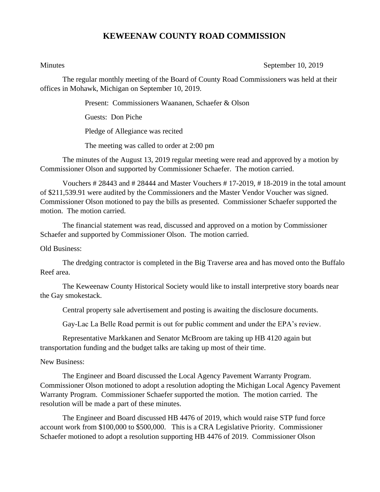## **KEWEENAW COUNTY ROAD COMMISSION**

Minutes September 10, 2019

The regular monthly meeting of the Board of County Road Commissioners was held at their offices in Mohawk, Michigan on September 10, 2019.

Present: Commissioners Waananen, Schaefer & Olson

Guests: Don Piche

Pledge of Allegiance was recited

The meeting was called to order at 2:00 pm

The minutes of the August 13, 2019 regular meeting were read and approved by a motion by Commissioner Olson and supported by Commissioner Schaefer. The motion carried.

Vouchers # 28443 and # 28444 and Master Vouchers # 17-2019, # 18-2019 in the total amount of \$211,539.91 were audited by the Commissioners and the Master Vendor Voucher was signed. Commissioner Olson motioned to pay the bills as presented. Commissioner Schaefer supported the motion. The motion carried.

The financial statement was read, discussed and approved on a motion by Commissioner Schaefer and supported by Commissioner Olson. The motion carried.

Old Business:

The dredging contractor is completed in the Big Traverse area and has moved onto the Buffalo Reef area.

The Keweenaw County Historical Society would like to install interpretive story boards near the Gay smokestack.

Central property sale advertisement and posting is awaiting the disclosure documents.

Gay-Lac La Belle Road permit is out for public comment and under the EPA's review.

Representative Markkanen and Senator McBroom are taking up HB 4120 again but transportation funding and the budget talks are taking up most of their time.

New Business:

The Engineer and Board discussed the Local Agency Pavement Warranty Program. Commissioner Olson motioned to adopt a resolution adopting the Michigan Local Agency Pavement Warranty Program. Commissioner Schaefer supported the motion. The motion carried. The resolution will be made a part of these minutes.

The Engineer and Board discussed HB 4476 of 2019, which would raise STP fund force account work from \$100,000 to \$500,000. This is a CRA Legislative Priority. Commissioner Schaefer motioned to adopt a resolution supporting HB 4476 of 2019. Commissioner Olson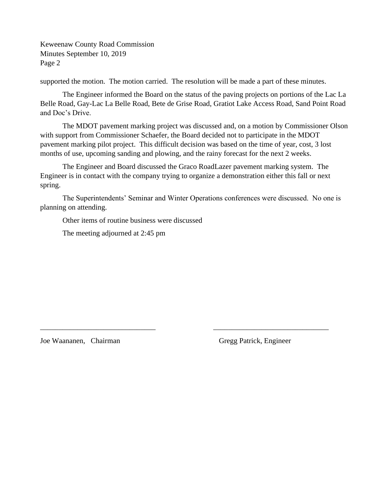Keweenaw County Road Commission Minutes September 10, 2019 Page 2

supported the motion. The motion carried. The resolution will be made a part of these minutes.

The Engineer informed the Board on the status of the paving projects on portions of the Lac La Belle Road, Gay-Lac La Belle Road, Bete de Grise Road, Gratiot Lake Access Road, Sand Point Road and Doc's Drive.

The MDOT pavement marking project was discussed and, on a motion by Commissioner Olson with support from Commissioner Schaefer, the Board decided not to participate in the MDOT pavement marking pilot project. This difficult decision was based on the time of year, cost, 3 lost months of use, upcoming sanding and plowing, and the rainy forecast for the next 2 weeks.

The Engineer and Board discussed the Graco RoadLazer pavement marking system. The Engineer is in contact with the company trying to organize a demonstration either this fall or next spring.

The Superintendents' Seminar and Winter Operations conferences were discussed. No one is planning on attending.

\_\_\_\_\_\_\_\_\_\_\_\_\_\_\_\_\_\_\_\_\_\_\_\_\_\_\_\_\_\_\_ \_\_\_\_\_\_\_\_\_\_\_\_\_\_\_\_\_\_\_\_\_\_\_\_\_\_\_\_\_\_\_

Other items of routine business were discussed

The meeting adjourned at 2:45 pm

Joe Waananen, Chairman Gregg Patrick, Engineer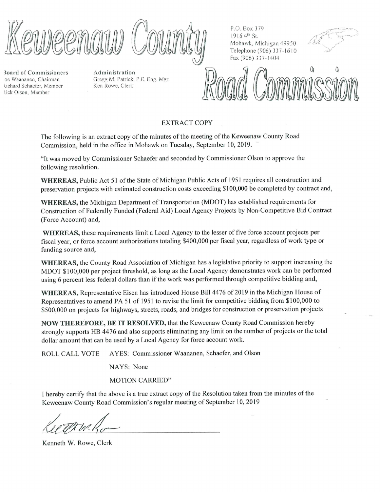**3oard of Commissioners** oe Waananen, Chairman lichard Schaefer, Member lick Olson, Member

Administration Gregg M. Patrick, P.E. Eng. Mgr. Ken Rowe, Clerk

P.O. Box 379 1916 4th St. Mohawk, Michigan 49950 Telephone (906) 337-1610 Fax (906) 337-1404



## **EXTRACT COPY**

The following is an extract copy of the minutes of the meeting of the Keweenaw County Road Commission, held in the office in Mohawk on Tuesday, September 10, 2019.

"It was moved by Commissioner Schaefer and seconded by Commissioner Olson to approve the following resolution.

WHEREAS, Public Act 51 of the State of Michigan Public Acts of 1951 requires all construction and preservation projects with estimated construction costs exceeding \$100,000 be completed by contract and,

**WHEREAS**, the Michigan Department of Transportation (MDOT) has established requirements for Construction of Federally Funded (Federal Aid) Local Agency Projects by Non-Competitive Bid Contract (Force Account) and,

WHEREAS, these requirements limit a Local Agency to the lesser of five force account projects per fiscal year, or force account authorizations totaling \$400,000 per fiscal year, regardless of work type or funding source and,

WHEREAS, the County Road Association of Michigan has a legislative priority to support increasing the MDOT \$100,000 per project threshold, as long as the Local Agency demonstrates work can be performed using 6 percent less federal dollars than if the work was performed through competitive bidding and,

WHEREAS, Representative Eisen has introduced House Bill 4476 of 2019 in the Michigan House of Representatives to amend PA 51 of 1951 to revise the limit for competitive bidding from \$100,000 to \$500,000 on projects for highways, streets, roads, and bridges for construction or preservation projects

**NOW THEREFORE, BE IT RESOLVED, that the Keweenaw County Road Commission hereby** strongly supports HB 4476 and also supports eliminating any limit on the number of projects or the total dollar amount that can be used by a Local Agency for force account work.

AYES: Commissioner Waananen, Schaefer, and Olson **ROLL CALL VOTE** 

NAYS: None

**MOTION CARRIED"** 

I hereby certify that the above is a true extract copy of the Resolution taken from the minutes of the Keweenaw County Road Commission's regular meeting of September 10, 2019

Kenneth W. Rowe, Clerk